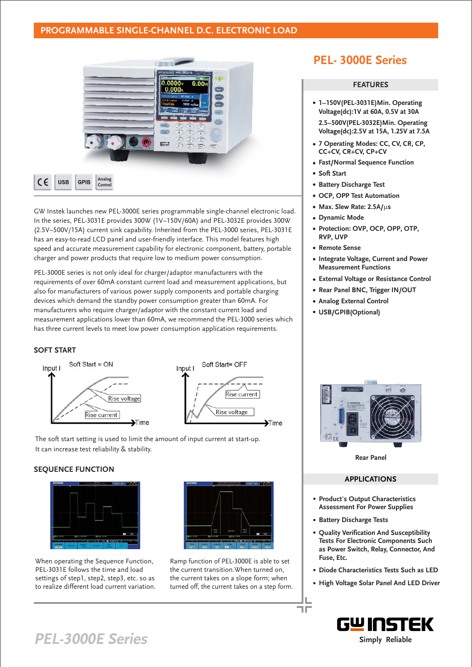### **PROGRAMMABLE SINGLE-CHANNEL D.C. ELECTRONIC LOAD**



GW Instek launches new PEL-3000E series programmable single-channel electronic load. In the series, PEL-3031E provides 300W (1V~150V/60A) and PEL-3032E provides 300W (2.5V~500V/15A) current sink capability. Inherited from the PEL-3000 series, PEL-3031E has an easy-to-read LCD panel and user-friendly interface. This model features high speed and accurate measurement capability for electronic component, battery, portable charger and power products that require low to medium power consumption.

PEL-3000E series is not only ideal for charger/adaptor manufacturers with the requirements of over 60mA constant current load and measurement applications, but also for manufacturers of various power supply components and portable charging devices which demand the standby power consumption greater than 60mA. For manufacturers who require charger/adaptor with the constant current load and measurement applications lower than 60mA, we recommend the PEL-3000 series which has three current levels to meet low power consumption application requirements.

### **SOFT START**



The soft start setting is used to limit the amount of input current at start-up. It can increase test reliability & stability.

### **SEQUENCE FUNCTION**



When operating the Sequence Function, PEL-3031E follows the time and load settings of step1, step2, step3, etc. so as to realize different load current variation.



Ramp function of PEL-3000E is able to set the current transition.When turned on, the current takes on a slope form; when turned off, the current takes on a step form.

## **PEL- 3000E Series**

### **FEATURES**

- **1~150V(PEL-3031E)Min. Operating Voltage(dc):1V at 60A, 0.5V at 30A 2.5~500V(PEL-3032E)Min. Operating**
- **Voltage(dc):2.5V at 15A, 1.25V at 7.5A**
- **7 Operating Modes: CC, CV, CR, CP, CC+CV, CR+CV, CP+CV**
- **Fast/Normal Sequence Function**
- **Soft Start**
- **Battery Discharge Test**
- **OCP, OPP Test Automation**
- **Max. Slew Rate: 2.5A/us**
- **Dynamic Mode**
- **Protection: OVP, OCP, OPP, OTP, RVP, UVP**
- **Remote Sense**
- **Integrate Voltage, Current and Power Measurement Functions**
- **External Voltage or Resistance Control**
- **Rear Panel BNC, Trigger IN/OUT**
- **Analog External Control**
- **USB/GPIB(Optional)**



**Rear Panel**

#### **APPLICATIONS**

- **Product's Output Characteristics Assessment For Power Supplies**
- **Battery Discharge Tests**

ПD

- **Quality Verification And Susceptibility Tests For Electronic Components Such as Power Switch, Relay, Connector, And Fuse, Etc.**
- **Diode Characteristics Tests Such as LED**
- **High Voltage Solar Panel And LED Driver**



# **PEL-3000E Series Simply Reliable**